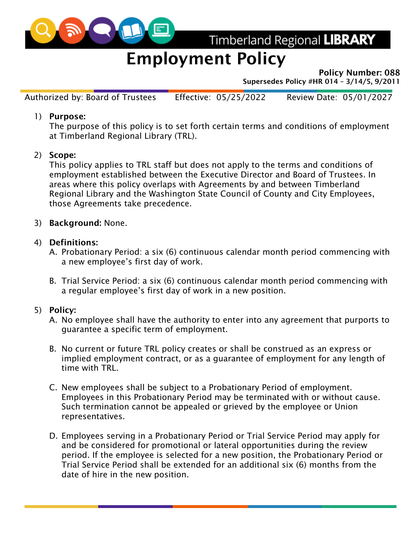

Timberland Regional LIBRARY

# Employment Policy

Policy Number: 088

Supersedes Policy #HR 014 – 3/14/5, 9/2011

Authorized by: Board of Trustees Effective: 05/25/2022 Review Date: 05/01/2027

#### 1) Purpose:

The purpose of this policy is to set forth certain terms and conditions of employment at Timberland Regional Library (TRL).

#### 2) Scope:

This policy applies to TRL staff but does not apply to the terms and conditions of employment established between the Executive Director and Board of Trustees. In areas where this policy overlaps with Agreements by and between Timberland Regional Library and the Washington State Council of County and City Employees, those Agreements take precedence.

#### 3) Background: None.

#### 4) Definitions:

- A. Probationary Period: a six (6) continuous calendar month period commencing with a new employee's first day of work.
- B. Trial Service Period: a six (6) continuous calendar month period commencing with a regular employee's first day of work in a new position.

#### 5) Policy:

- A. No employee shall have the authority to enter into any agreement that purports to guarantee a specific term of employment.
- B. No current or future TRL policy creates or shall be construed as an express or implied employment contract, or as a guarantee of employment for any length of time with TRL.
- C. New employees shall be subject to a Probationary Period of employment. Employees in this Probationary Period may be terminated with or without cause. Such termination cannot be appealed or grieved by the employee or Union representatives.
- D. Employees serving in a Probationary Period or Trial Service Period may apply for and be considered for promotional or lateral opportunities during the review period. If the employee is selected for a new position, the Probationary Period or Trial Service Period shall be extended for an additional six (6) months from the date of hire in the new position.